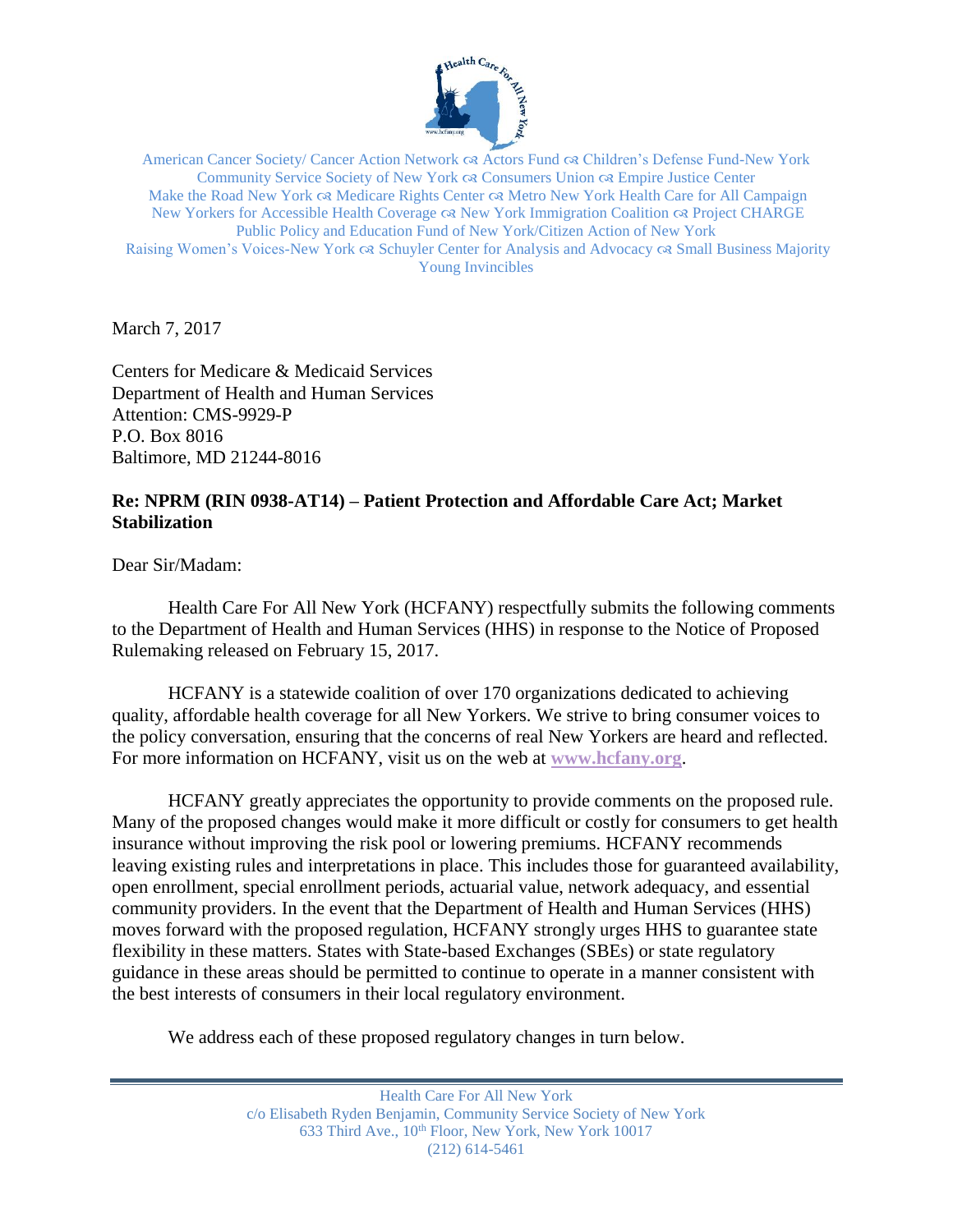

American Cancer Society/ Cancer Action Network  $\alpha$  Actors Fund  $\alpha$  Children's Defense Fund-New York Community Service Society of New York Consumers Union Empire Justice Center Make the Road New York  $\alpha$  Medicare Rights Center  $\alpha$  Metro New York Health Care for All Campaign New Yorkers for Accessible Health Coverage  $\alpha$  New York Immigration Coalition  $\alpha$  Project CHARGE Public Policy and Education Fund of New York/Citizen Action of New York Raising Women's Voices-New York & Schuyler Center for Analysis and Advocacy & Small Business Majority Young Invincibles

March 7, 2017

Centers for Medicare & Medicaid Services Department of Health and Human Services Attention: CMS-9929-P P.O. Box 8016 Baltimore, MD 21244-8016

# **Re: NPRM (RIN 0938-AT14) – Patient Protection and Affordable Care Act; Market Stabilization**

Dear Sir/Madam:

Health Care For All New York (HCFANY) respectfully submits the following comments to the Department of Health and Human Services (HHS) in response to the Notice of Proposed Rulemaking released on February 15, 2017.

HCFANY is a statewide coalition of over 170 organizations dedicated to achieving quality, affordable health coverage for all New Yorkers. We strive to bring consumer voices to the policy conversation, ensuring that the concerns of real New Yorkers are heard and reflected. For more information on HCFANY, visit us on the web at **www.hcfany.org**.

HCFANY greatly appreciates the opportunity to provide comments on the proposed rule. Many of the proposed changes would make it more difficult or costly for consumers to get health insurance without improving the risk pool or lowering premiums. HCFANY recommends leaving existing rules and interpretations in place. This includes those for guaranteed availability, open enrollment, special enrollment periods, actuarial value, network adequacy, and essential community providers. In the event that the Department of Health and Human Services (HHS) moves forward with the proposed regulation, HCFANY strongly urges HHS to guarantee state flexibility in these matters. States with State-based Exchanges (SBEs) or state regulatory guidance in these areas should be permitted to continue to operate in a manner consistent with the best interests of consumers in their local regulatory environment.

We address each of these proposed regulatory changes in turn below.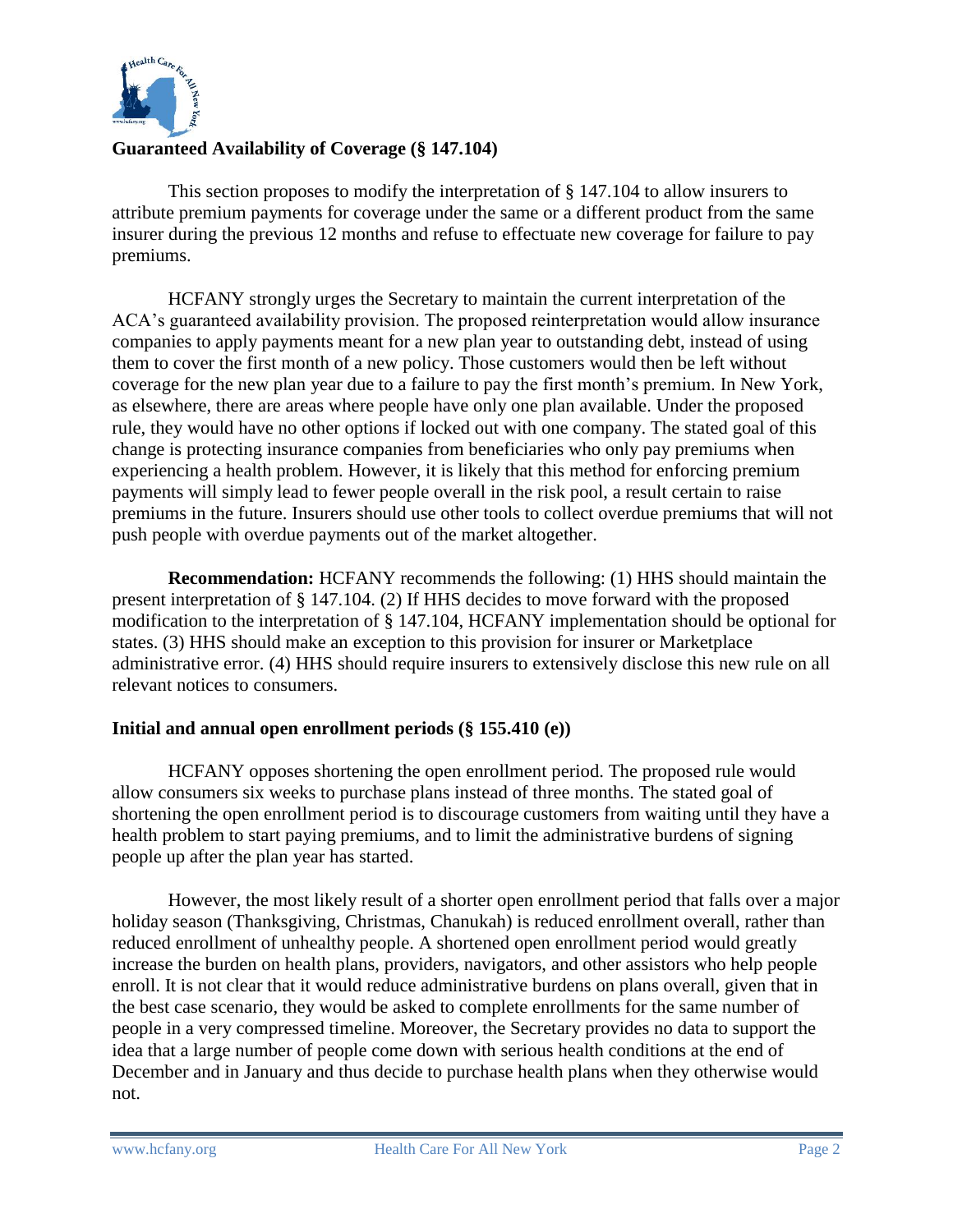

# **Guaranteed Availability of Coverage (§ 147.104)**

This section proposes to modify the interpretation of § 147.104 to allow insurers to attribute premium payments for coverage under the same or a different product from the same insurer during the previous 12 months and refuse to effectuate new coverage for failure to pay premiums.

HCFANY strongly urges the Secretary to maintain the current interpretation of the ACA's guaranteed availability provision. The proposed reinterpretation would allow insurance companies to apply payments meant for a new plan year to outstanding debt, instead of using them to cover the first month of a new policy. Those customers would then be left without coverage for the new plan year due to a failure to pay the first month's premium. In New York, as elsewhere, there are areas where people have only one plan available. Under the proposed rule, they would have no other options if locked out with one company. The stated goal of this change is protecting insurance companies from beneficiaries who only pay premiums when experiencing a health problem. However, it is likely that this method for enforcing premium payments will simply lead to fewer people overall in the risk pool, a result certain to raise premiums in the future. Insurers should use other tools to collect overdue premiums that will not push people with overdue payments out of the market altogether.

**Recommendation:** HCFANY recommends the following: (1) HHS should maintain the present interpretation of § 147.104. (2) If HHS decides to move forward with the proposed modification to the interpretation of § 147.104, HCFANY implementation should be optional for states. (3) HHS should make an exception to this provision for insurer or Marketplace administrative error. (4) HHS should require insurers to extensively disclose this new rule on all relevant notices to consumers.

## **Initial and annual open enrollment periods (§ 155.410 (e))**

HCFANY opposes shortening the open enrollment period. The proposed rule would allow consumers six weeks to purchase plans instead of three months. The stated goal of shortening the open enrollment period is to discourage customers from waiting until they have a health problem to start paying premiums, and to limit the administrative burdens of signing people up after the plan year has started.

However, the most likely result of a shorter open enrollment period that falls over a major holiday season (Thanksgiving, Christmas, Chanukah) is reduced enrollment overall, rather than reduced enrollment of unhealthy people. A shortened open enrollment period would greatly increase the burden on health plans, providers, navigators, and other assistors who help people enroll. It is not clear that it would reduce administrative burdens on plans overall, given that in the best case scenario, they would be asked to complete enrollments for the same number of people in a very compressed timeline. Moreover, the Secretary provides no data to support the idea that a large number of people come down with serious health conditions at the end of December and in January and thus decide to purchase health plans when they otherwise would not.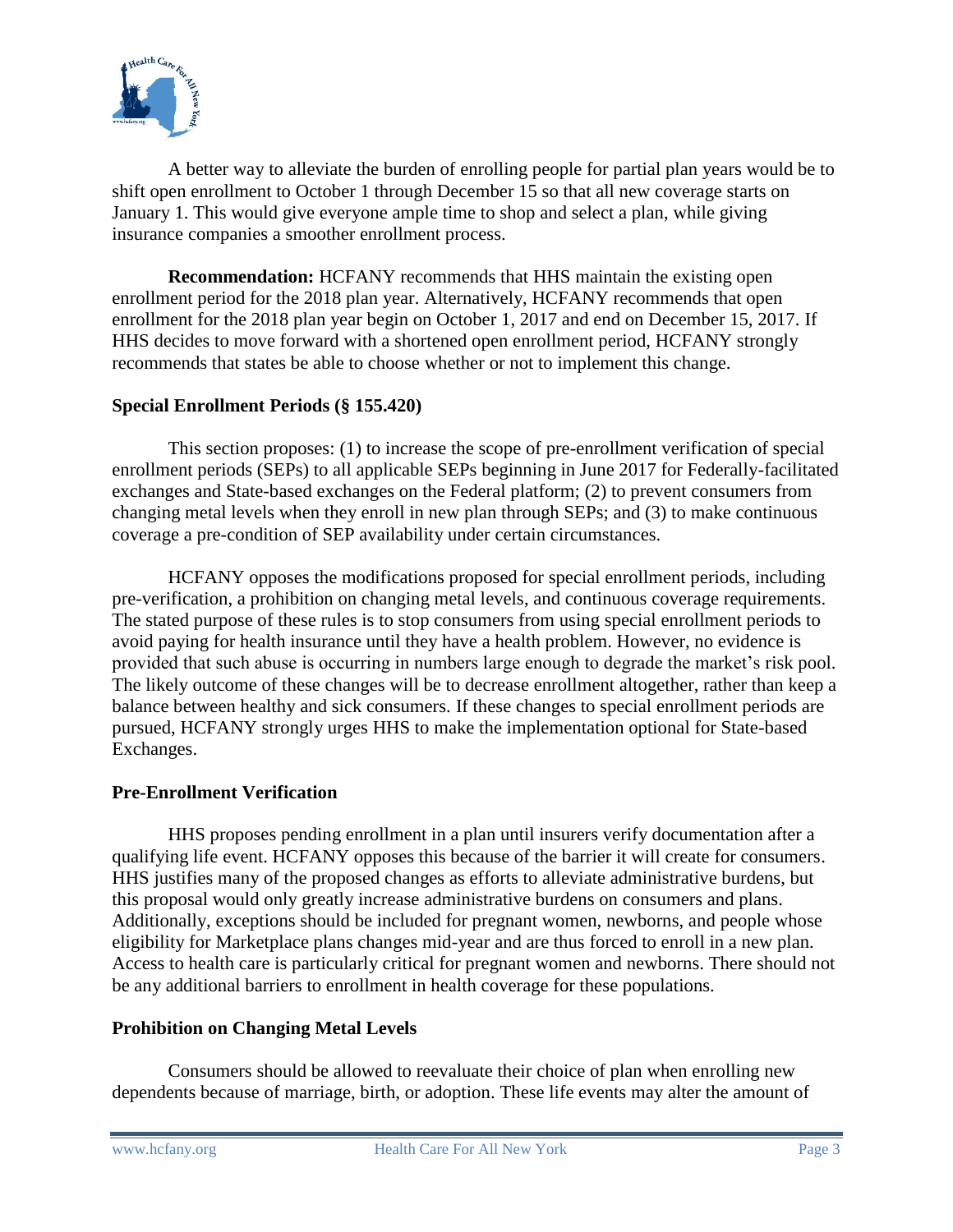

A better way to alleviate the burden of enrolling people for partial plan years would be to shift open enrollment to October 1 through December 15 so that all new coverage starts on January 1. This would give everyone ample time to shop and select a plan, while giving insurance companies a smoother enrollment process.

**Recommendation:** HCFANY recommends that HHS maintain the existing open enrollment period for the 2018 plan year. Alternatively, HCFANY recommends that open enrollment for the 2018 plan year begin on October 1, 2017 and end on December 15, 2017. If HHS decides to move forward with a shortened open enrollment period, HCFANY strongly recommends that states be able to choose whether or not to implement this change.

#### **Special Enrollment Periods (§ 155.420)**

This section proposes: (1) to increase the scope of pre-enrollment verification of special enrollment periods (SEPs) to all applicable SEPs beginning in June 2017 for Federally-facilitated exchanges and State-based exchanges on the Federal platform; (2) to prevent consumers from changing metal levels when they enroll in new plan through SEPs; and (3) to make continuous coverage a pre-condition of SEP availability under certain circumstances.

HCFANY opposes the modifications proposed for special enrollment periods, including pre-verification, a prohibition on changing metal levels, and continuous coverage requirements. The stated purpose of these rules is to stop consumers from using special enrollment periods to avoid paying for health insurance until they have a health problem. However, no evidence is provided that such abuse is occurring in numbers large enough to degrade the market's risk pool. The likely outcome of these changes will be to decrease enrollment altogether, rather than keep a balance between healthy and sick consumers. If these changes to special enrollment periods are pursued, HCFANY strongly urges HHS to make the implementation optional for State-based Exchanges.

#### **Pre-Enrollment Verification**

HHS proposes pending enrollment in a plan until insurers verify documentation after a qualifying life event. HCFANY opposes this because of the barrier it will create for consumers. HHS justifies many of the proposed changes as efforts to alleviate administrative burdens, but this proposal would only greatly increase administrative burdens on consumers and plans. Additionally, exceptions should be included for pregnant women, newborns, and people whose eligibility for Marketplace plans changes mid-year and are thus forced to enroll in a new plan. Access to health care is particularly critical for pregnant women and newborns. There should not be any additional barriers to enrollment in health coverage for these populations.

#### **Prohibition on Changing Metal Levels**

Consumers should be allowed to reevaluate their choice of plan when enrolling new dependents because of marriage, birth, or adoption. These life events may alter the amount of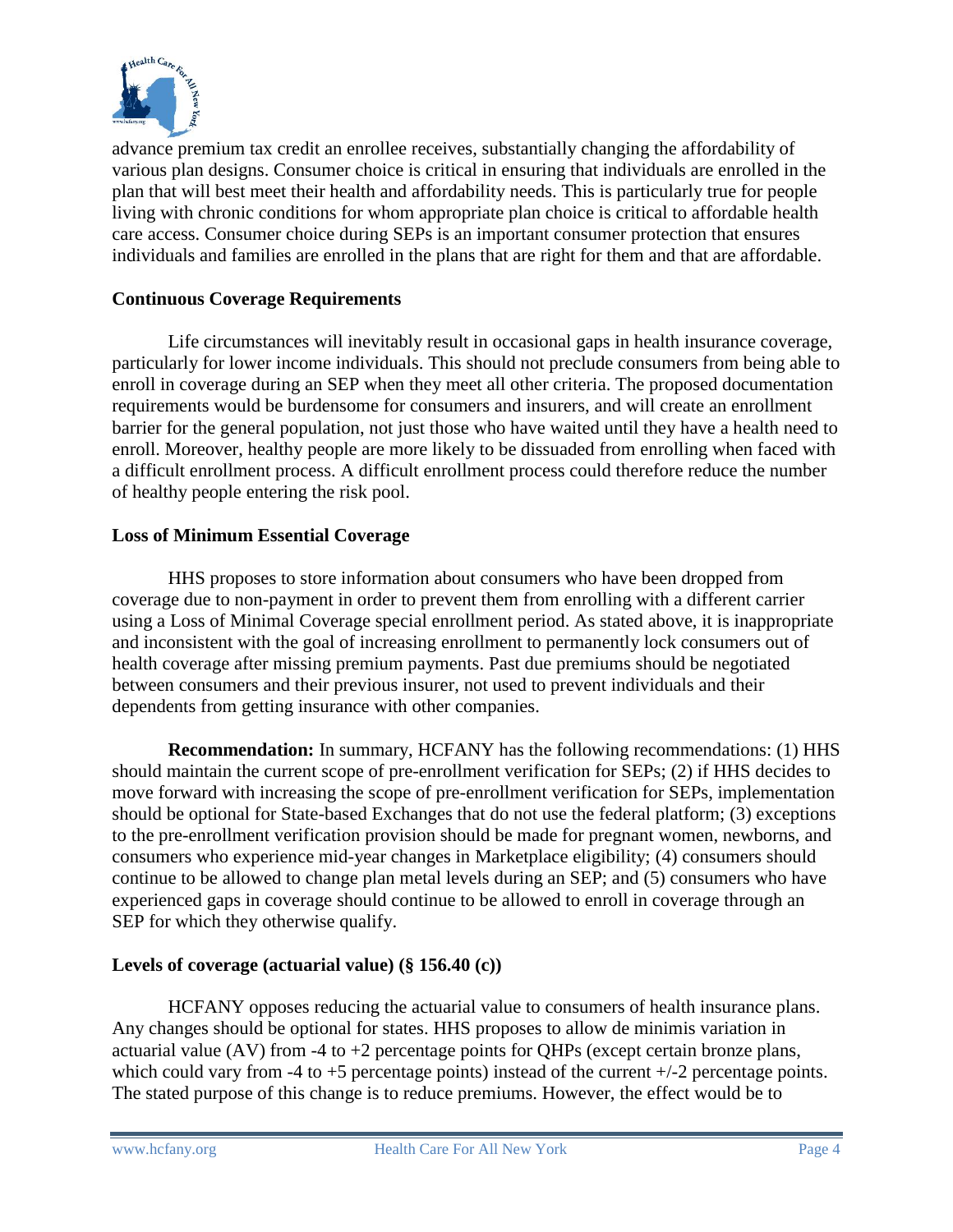

advance premium tax credit an enrollee receives, substantially changing the affordability of various plan designs. Consumer choice is critical in ensuring that individuals are enrolled in the plan that will best meet their health and affordability needs. This is particularly true for people living with chronic conditions for whom appropriate plan choice is critical to affordable health care access. Consumer choice during SEPs is an important consumer protection that ensures individuals and families are enrolled in the plans that are right for them and that are affordable.

# **Continuous Coverage Requirements**

Life circumstances will inevitably result in occasional gaps in health insurance coverage, particularly for lower income individuals. This should not preclude consumers from being able to enroll in coverage during an SEP when they meet all other criteria. The proposed documentation requirements would be burdensome for consumers and insurers, and will create an enrollment barrier for the general population, not just those who have waited until they have a health need to enroll. Moreover, healthy people are more likely to be dissuaded from enrolling when faced with a difficult enrollment process. A difficult enrollment process could therefore reduce the number of healthy people entering the risk pool.

## **Loss of Minimum Essential Coverage**

HHS proposes to store information about consumers who have been dropped from coverage due to non-payment in order to prevent them from enrolling with a different carrier using a Loss of Minimal Coverage special enrollment period. As stated above, it is inappropriate and inconsistent with the goal of increasing enrollment to permanently lock consumers out of health coverage after missing premium payments. Past due premiums should be negotiated between consumers and their previous insurer, not used to prevent individuals and their dependents from getting insurance with other companies.

**Recommendation:** In summary, HCFANY has the following recommendations: (1) HHS should maintain the current scope of pre-enrollment verification for SEPs; (2) if HHS decides to move forward with increasing the scope of pre-enrollment verification for SEPs, implementation should be optional for State-based Exchanges that do not use the federal platform; (3) exceptions to the pre-enrollment verification provision should be made for pregnant women, newborns, and consumers who experience mid-year changes in Marketplace eligibility; (4) consumers should continue to be allowed to change plan metal levels during an SEP; and (5) consumers who have experienced gaps in coverage should continue to be allowed to enroll in coverage through an SEP for which they otherwise qualify.

## **Levels of coverage (actuarial value) (§ 156.40 (c))**

HCFANY opposes reducing the actuarial value to consumers of health insurance plans. Any changes should be optional for states. HHS proposes to allow de minimis variation in actuarial value (AV) from -4 to +2 percentage points for QHPs (except certain bronze plans, which could vary from -4 to +5 percentage points) instead of the current  $+/-2$  percentage points. The stated purpose of this change is to reduce premiums. However, the effect would be to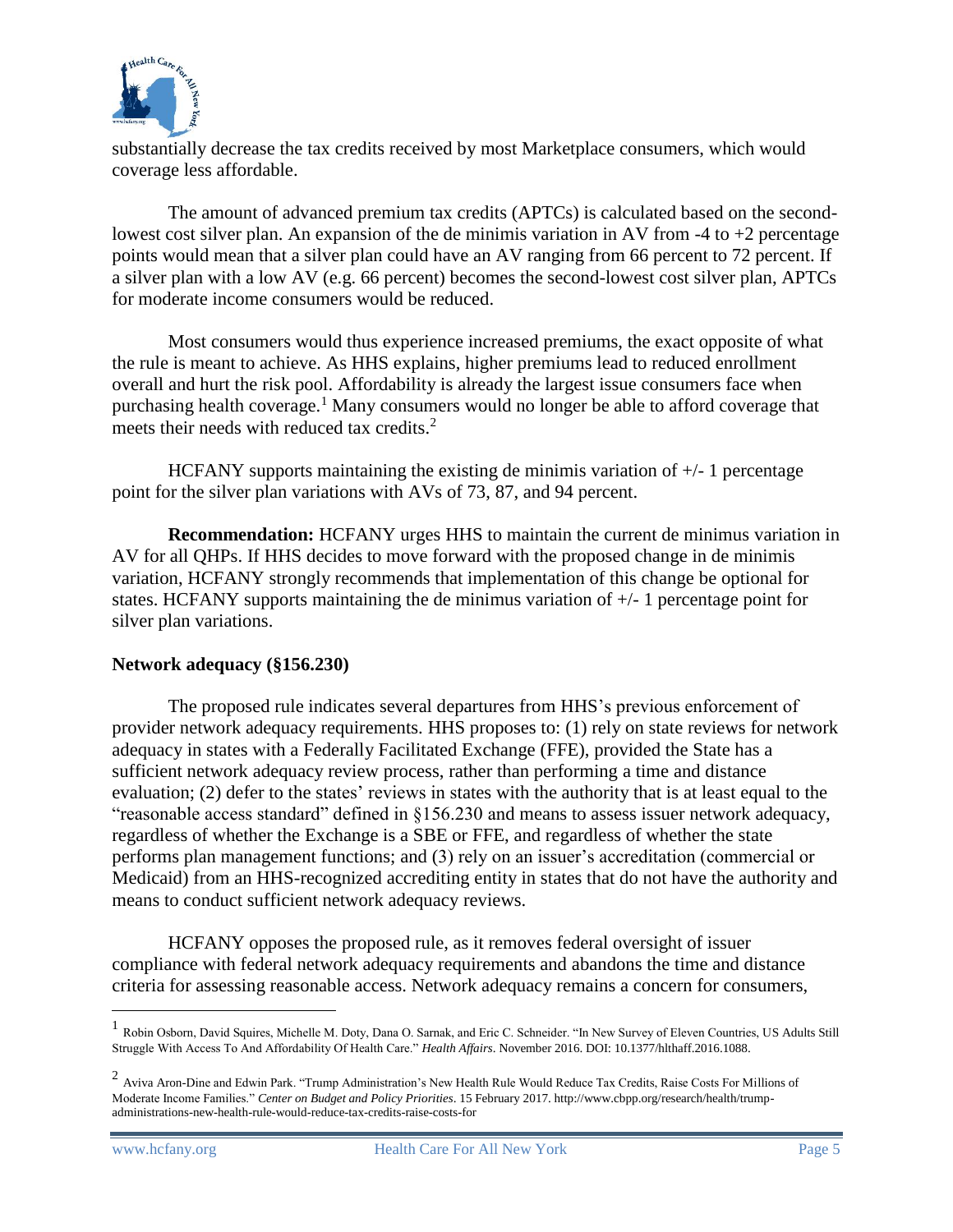

substantially decrease the tax credits received by most Marketplace consumers, which would coverage less affordable.

The amount of advanced premium tax credits (APTCs) is calculated based on the secondlowest cost silver plan. An expansion of the de minimis variation in AV from  $-4$  to  $+2$  percentage points would mean that a silver plan could have an AV ranging from 66 percent to 72 percent. If a silver plan with a low AV (e.g. 66 percent) becomes the second-lowest cost silver plan, APTCs for moderate income consumers would be reduced.

Most consumers would thus experience increased premiums, the exact opposite of what the rule is meant to achieve. As HHS explains, higher premiums lead to reduced enrollment overall and hurt the risk pool. Affordability is already the largest issue consumers face when purchasing health coverage.<sup>1</sup> Many consumers would no longer be able to afford coverage that meets their needs with reduced tax credits. 2

HCFANY supports maintaining the existing de minimis variation of  $+/-1$  percentage point for the silver plan variations with AVs of 73, 87, and 94 percent.

**Recommendation:** HCFANY urges HHS to maintain the current de minimus variation in AV for all QHPs. If HHS decides to move forward with the proposed change in de minimis variation, HCFANY strongly recommends that implementation of this change be optional for states. HCFANY supports maintaining the de minimus variation of +/- 1 percentage point for silver plan variations.

#### **Network adequacy (§156.230)**

The proposed rule indicates several departures from HHS's previous enforcement of provider network adequacy requirements. HHS proposes to: (1) rely on state reviews for network adequacy in states with a Federally Facilitated Exchange (FFE), provided the State has a sufficient network adequacy review process, rather than performing a time and distance evaluation; (2) defer to the states' reviews in states with the authority that is at least equal to the "reasonable access standard" defined in §156.230 and means to assess issuer network adequacy, regardless of whether the Exchange is a SBE or FFE, and regardless of whether the state performs plan management functions; and (3) rely on an issuer's accreditation (commercial or Medicaid) from an HHS-recognized accrediting entity in states that do not have the authority and means to conduct sufficient network adequacy reviews.

HCFANY opposes the proposed rule, as it removes federal oversight of issuer compliance with federal network adequacy requirements and abandons the time and distance criteria for assessing reasonable access. Network adequacy remains a concern for consumers,

 $\overline{a}$ 

<sup>&</sup>lt;sup>1</sup> Robin Osborn, David Squires, Michelle M. Doty, Dana O. Sarnak, and Eric C. Schneider. "In New Survey of Eleven Countries, US Adults Still Struggle With Access To And Affordability Of Health Care." *Health Affairs*. November 2016. DOI: 10.1377/hlthaff.2016.1088.

 $^2$  Aviva Aron-Dine and Edwin Park. "Trump Administration's New Health Rule Would Reduce Tax Credits, Raise Costs For Millions of Moderate Income Families." *Center on Budget and Policy Priorities*. 15 February 2017. http://www.cbpp.org/research/health/trumpadministrations-new-health-rule-would-reduce-tax-credits-raise-costs-for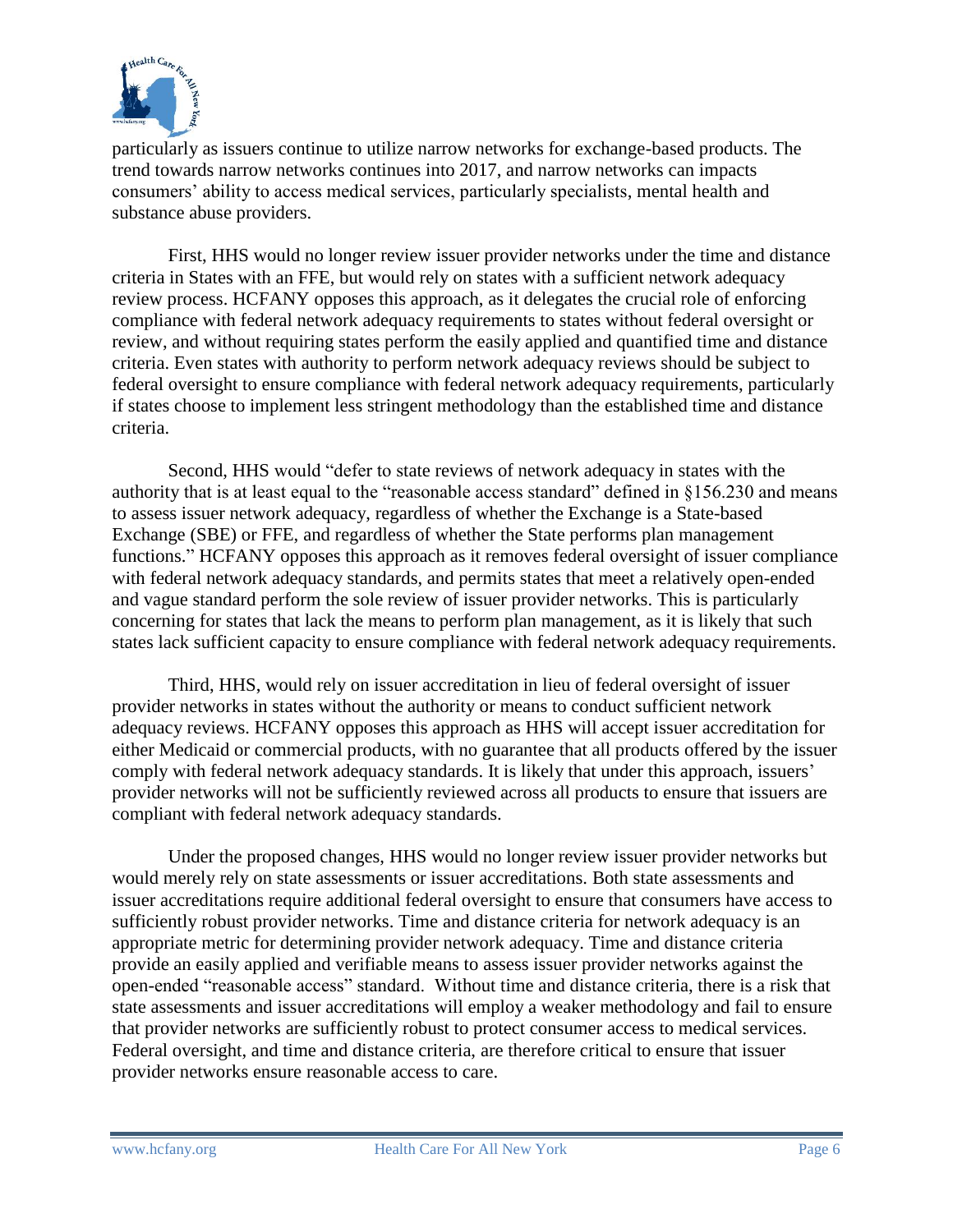

particularly as issuers continue to utilize narrow networks for exchange-based products. The trend towards narrow networks continues into 2017, and narrow networks can impacts consumers' ability to access medical services, particularly specialists, mental health and substance abuse providers.

First, HHS would no longer review issuer provider networks under the time and distance criteria in States with an FFE, but would rely on states with a sufficient network adequacy review process. HCFANY opposes this approach, as it delegates the crucial role of enforcing compliance with federal network adequacy requirements to states without federal oversight or review, and without requiring states perform the easily applied and quantified time and distance criteria. Even states with authority to perform network adequacy reviews should be subject to federal oversight to ensure compliance with federal network adequacy requirements, particularly if states choose to implement less stringent methodology than the established time and distance criteria.

Second, HHS would "defer to state reviews of network adequacy in states with the authority that is at least equal to the "reasonable access standard" defined in §156.230 and means to assess issuer network adequacy, regardless of whether the Exchange is a State-based Exchange (SBE) or FFE, and regardless of whether the State performs plan management functions." HCFANY opposes this approach as it removes federal oversight of issuer compliance with federal network adequacy standards, and permits states that meet a relatively open-ended and vague standard perform the sole review of issuer provider networks. This is particularly concerning for states that lack the means to perform plan management, as it is likely that such states lack sufficient capacity to ensure compliance with federal network adequacy requirements.

Third, HHS, would rely on issuer accreditation in lieu of federal oversight of issuer provider networks in states without the authority or means to conduct sufficient network adequacy reviews. HCFANY opposes this approach as HHS will accept issuer accreditation for either Medicaid or commercial products, with no guarantee that all products offered by the issuer comply with federal network adequacy standards. It is likely that under this approach, issuers' provider networks will not be sufficiently reviewed across all products to ensure that issuers are compliant with federal network adequacy standards.

Under the proposed changes, HHS would no longer review issuer provider networks but would merely rely on state assessments or issuer accreditations. Both state assessments and issuer accreditations require additional federal oversight to ensure that consumers have access to sufficiently robust provider networks. Time and distance criteria for network adequacy is an appropriate metric for determining provider network adequacy. Time and distance criteria provide an easily applied and verifiable means to assess issuer provider networks against the open-ended "reasonable access" standard. Without time and distance criteria, there is a risk that state assessments and issuer accreditations will employ a weaker methodology and fail to ensure that provider networks are sufficiently robust to protect consumer access to medical services. Federal oversight, and time and distance criteria, are therefore critical to ensure that issuer provider networks ensure reasonable access to care.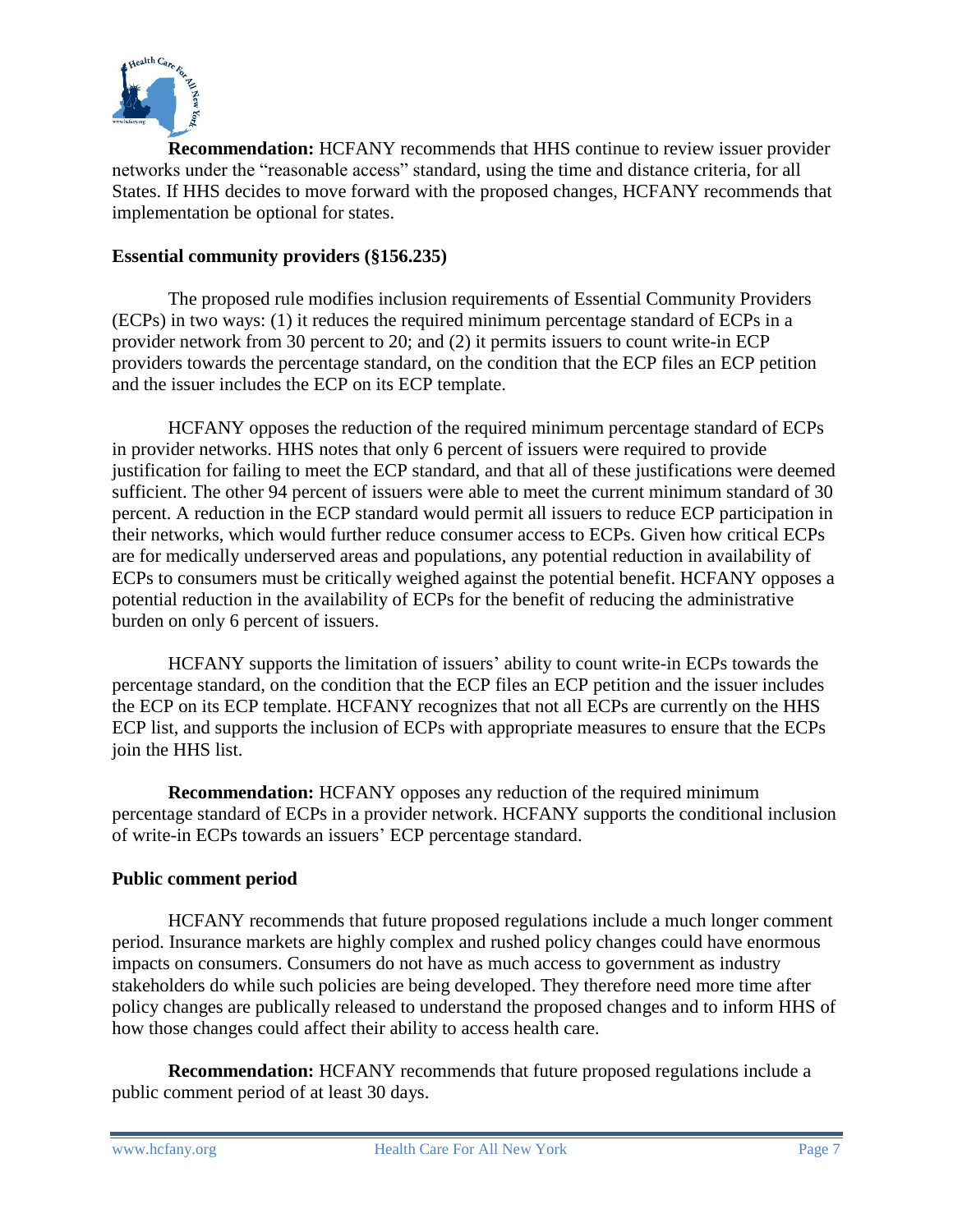

**Recommendation:** HCFANY recommends that HHS continue to review issuer provider networks under the "reasonable access" standard, using the time and distance criteria, for all States. If HHS decides to move forward with the proposed changes, HCFANY recommends that implementation be optional for states.

## **Essential community providers (§156.235)**

The proposed rule modifies inclusion requirements of Essential Community Providers (ECPs) in two ways: (1) it reduces the required minimum percentage standard of ECPs in a provider network from 30 percent to 20; and (2) it permits issuers to count write-in ECP providers towards the percentage standard, on the condition that the ECP files an ECP petition and the issuer includes the ECP on its ECP template.

HCFANY opposes the reduction of the required minimum percentage standard of ECPs in provider networks. HHS notes that only 6 percent of issuers were required to provide justification for failing to meet the ECP standard, and that all of these justifications were deemed sufficient. The other 94 percent of issuers were able to meet the current minimum standard of 30 percent. A reduction in the ECP standard would permit all issuers to reduce ECP participation in their networks, which would further reduce consumer access to ECPs. Given how critical ECPs are for medically underserved areas and populations, any potential reduction in availability of ECPs to consumers must be critically weighed against the potential benefit. HCFANY opposes a potential reduction in the availability of ECPs for the benefit of reducing the administrative burden on only 6 percent of issuers.

HCFANY supports the limitation of issuers' ability to count write-in ECPs towards the percentage standard, on the condition that the ECP files an ECP petition and the issuer includes the ECP on its ECP template. HCFANY recognizes that not all ECPs are currently on the HHS ECP list, and supports the inclusion of ECPs with appropriate measures to ensure that the ECPs join the HHS list.

**Recommendation:** HCFANY opposes any reduction of the required minimum percentage standard of ECPs in a provider network. HCFANY supports the conditional inclusion of write-in ECPs towards an issuers' ECP percentage standard.

## **Public comment period**

HCFANY recommends that future proposed regulations include a much longer comment period. Insurance markets are highly complex and rushed policy changes could have enormous impacts on consumers. Consumers do not have as much access to government as industry stakeholders do while such policies are being developed. They therefore need more time after policy changes are publically released to understand the proposed changes and to inform HHS of how those changes could affect their ability to access health care.

**Recommendation:** HCFANY recommends that future proposed regulations include a public comment period of at least 30 days.